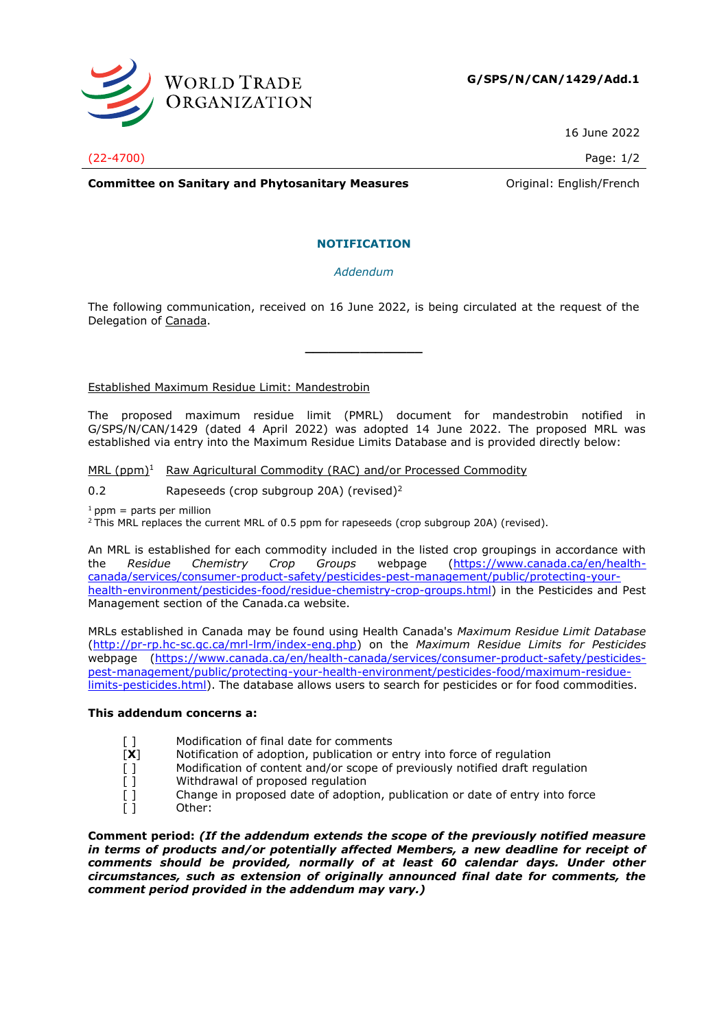

16 June 2022

(22-4700) Page: 1/2

**Committee on Sanitary and Phytosanitary Measures Committee on Sanitary and Phytosanitary Measures Committee Original:** English/French

## **NOTIFICATION**

*Addendum*

The following communication, received on 16 June 2022, is being circulated at the request of the Delegation of Canada.

**\_\_\_\_\_\_\_\_\_\_\_\_\_\_\_**

Established Maximum Residue Limit: Mandestrobin

The proposed maximum residue limit (PMRL) document for mandestrobin notified in G/SPS/N/CAN/1429 (dated 4 April 2022) was adopted 14 June 2022. The proposed MRL was established via entry into the Maximum Residue Limits Database and is provided directly below:

MRL (ppm)<sup>1</sup> Raw Agricultural Commodity (RAC) and/or Processed Commodity

0.2 Rapeseeds (crop subgroup 20A) (revised)<sup>2</sup>

 $1$  ppm = parts per million

 $2$ This MRL replaces the current MRL of 0.5 ppm for rapeseeds (crop subgroup 20A) (revised).

An MRL is established for each commodity included in the listed crop groupings in accordance with the *Residue Chemistry Crop Groups* webpage [\(https://www.canada.ca/en/health](https://www.canada.ca/en/health-canada/services/consumer-product-safety/pesticides-pest-management/public/protecting-your-health-environment/pesticides-food/residue-chemistry-crop-groups.html)[canada/services/consumer-product-safety/pesticides-pest-management/public/protecting-your](https://www.canada.ca/en/health-canada/services/consumer-product-safety/pesticides-pest-management/public/protecting-your-health-environment/pesticides-food/residue-chemistry-crop-groups.html)[health-environment/pesticides-food/residue-chemistry-crop-groups.html\)](https://www.canada.ca/en/health-canada/services/consumer-product-safety/pesticides-pest-management/public/protecting-your-health-environment/pesticides-food/residue-chemistry-crop-groups.html) in the Pesticides and Pest Management section of the Canada.ca website.

MRLs established in Canada may be found using Health Canada's *Maximum Residue Limit Database* [\(http://pr-rp.hc-sc.gc.ca/mrl-lrm/index-eng.php\)](http://pr-rp.hc-sc.gc.ca/mrl-lrm/index-eng.php) on the *Maximum Residue Limits for Pesticides*  webpage [\(https://www.canada.ca/en/health-canada/services/consumer-product-safety/pesticides](https://www.canada.ca/en/health-canada/services/consumer-product-safety/pesticides-pest-management/public/protecting-your-health-environment/pesticides-food/maximum-residue-limits-pesticides.html)[pest-management/public/protecting-your-health-environment/pesticides-food/maximum-residue](https://www.canada.ca/en/health-canada/services/consumer-product-safety/pesticides-pest-management/public/protecting-your-health-environment/pesticides-food/maximum-residue-limits-pesticides.html)[limits-pesticides.html\)](https://www.canada.ca/en/health-canada/services/consumer-product-safety/pesticides-pest-management/public/protecting-your-health-environment/pesticides-food/maximum-residue-limits-pesticides.html). The database allows users to search for pesticides or for food commodities.

## **This addendum concerns a:**

- [] Modification of final date for comments
- [**X**] Notification of adoption, publication or entry into force of regulation
- [ ] Modification of content and/or scope of previously notified draft regulation
- 
- [ ] Withdrawal of proposed regulation<br>
[ ] Change in proposed date of adoptic<br>
[ ] Other: Change in proposed date of adoption, publication or date of entry into force Other:

**Comment period:** *(If the addendum extends the scope of the previously notified measure in terms of products and/or potentially affected Members, a new deadline for receipt of comments should be provided, normally of at least 60 calendar days. Under other circumstances, such as extension of originally announced final date for comments, the comment period provided in the addendum may vary.)*